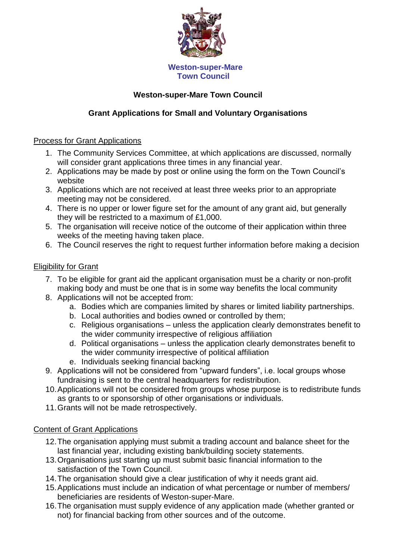

# **Weston-super-Mare Town Council**

# **Grant Applications for Small and Voluntary Organisations**

## Process for Grant Applications

- 1. The Community Services Committee, at which applications are discussed, normally will consider grant applications three times in any financial year.
- 2. Applications may be made by post or online using the form on the Town Council's website
- 3. Applications which are not received at least three weeks prior to an appropriate meeting may not be considered.
- 4. There is no upper or lower figure set for the amount of any grant aid, but generally they will be restricted to a maximum of £1,000.
- 5. The organisation will receive notice of the outcome of their application within three weeks of the meeting having taken place.
- 6. The Council reserves the right to request further information before making a decision

## Eligibility for Grant

- 7. To be eligible for grant aid the applicant organisation must be a charity or non-profit making body and must be one that is in some way benefits the local community
- 8. Applications will not be accepted from:
	- a. Bodies which are companies limited by shares or limited liability partnerships.
	- b. Local authorities and bodies owned or controlled by them;
	- c. Religious organisations unless the application clearly demonstrates benefit to the wider community irrespective of religious affiliation
	- d. Political organisations unless the application clearly demonstrates benefit to the wider community irrespective of political affiliation
	- e. Individuals seeking financial backing
- 9. Applications will not be considered from "upward funders", i.e. local groups whose fundraising is sent to the central headquarters for redistribution.
- 10.Applications will not be considered from groups whose purpose is to redistribute funds as grants to or sponsorship of other organisations or individuals.
- 11.Grants will not be made retrospectively.

## Content of Grant Applications

- 12.The organisation applying must submit a trading account and balance sheet for the last financial year, including existing bank/building society statements.
- 13.Organisations just starting up must submit basic financial information to the satisfaction of the Town Council.
- 14.The organisation should give a clear justification of why it needs grant aid.
- 15.Applications must include an indication of what percentage or number of members/ beneficiaries are residents of Weston-super-Mare.
- 16.The organisation must supply evidence of any application made (whether granted or not) for financial backing from other sources and of the outcome.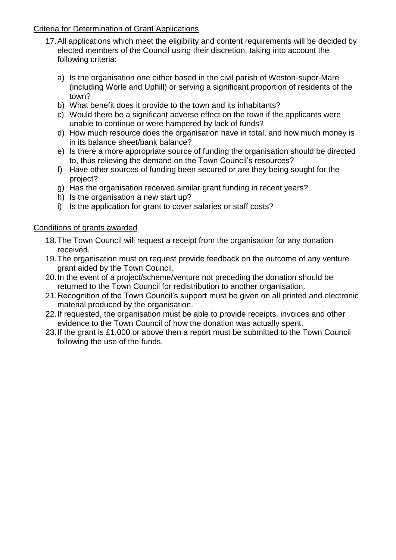## Criteria for Determination of Grant Applications

- 17.All applications which meet the eligibility and content requirements will be decided by elected members of the Council using their discretion, taking into account the following criteria:
	- a) Is the organisation one either based in the civil parish of Weston-super-Mare (including Worle and Uphill) or serving a significant proportion of residents of the town?
	- b) What benefit does it provide to the town and its inhabitants?
	- c) Would there be a significant adverse effect on the town if the applicants were unable to continue or were hampered by lack of funds?
	- d) How much resource does the organisation have in total, and how much money is in its balance sheet/bank balance?
	- e) Is there a more appropriate source of funding the organisation should be directed to, thus relieving the demand on the Town Council's resources?
	- f) Have other sources of funding been secured or are they being sought for the project?
	- g) Has the organisation received similar grant funding in recent years?
	- h) Is the organisation a new start up?
	- i) Is the application for grant to cover salaries or staff costs?

## Conditions of grants awarded

- 18.The Town Council will request a receipt from the organisation for any donation received.
- 19.The organisation must on request provide feedback on the outcome of any venture grant aided by the Town Council.
- 20.In the event of a project/scheme/venture not preceding the donation should be returned to the Town Council for redistribution to another organisation.
- 21.Recognition of the Town Council's support must be given on all printed and electronic material produced by the organisation.
- 22.If requested, the organisation must be able to provide receipts, invoices and other evidence to the Town Council of how the donation was actually spent.
- 23.If the grant is £1,000 or above then a report must be submitted to the Town Council following the use of the funds.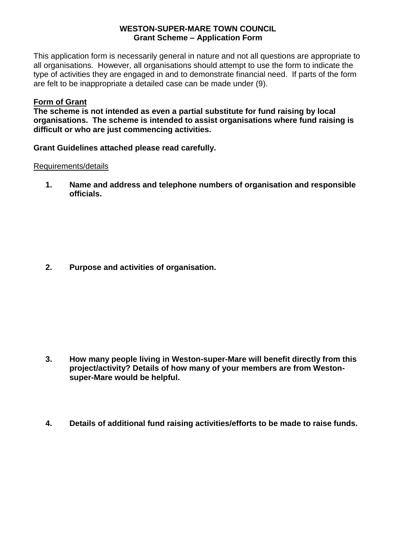#### **WESTON-SUPER-MARE TOWN COUNCIL Grant Scheme – Application Form**

This application form is necessarily general in nature and not all questions are appropriate to all organisations. However, all organisations should attempt to use the form to indicate the type of activities they are engaged in and to demonstrate financial need. If parts of the form are felt to be inappropriate a detailed case can be made under (9).

## **Form of Grant**

**The scheme is not intended as even a partial substitute for fund raising by local organisations. The scheme is intended to assist organisations where fund raising is difficult or who are just commencing activities.**

**Grant Guidelines attached please read carefully.**

## Requirements/details

**1. Name and address and telephone numbers of organisation and responsible officials.**

**2. Purpose and activities of organisation.**

- **3. How many people living in Weston-super-Mare will benefit directly from this project/activity? Details of how many of your members are from Westonsuper-Mare would be helpful.**
- **4. Details of additional fund raising activities/efforts to be made to raise funds.**